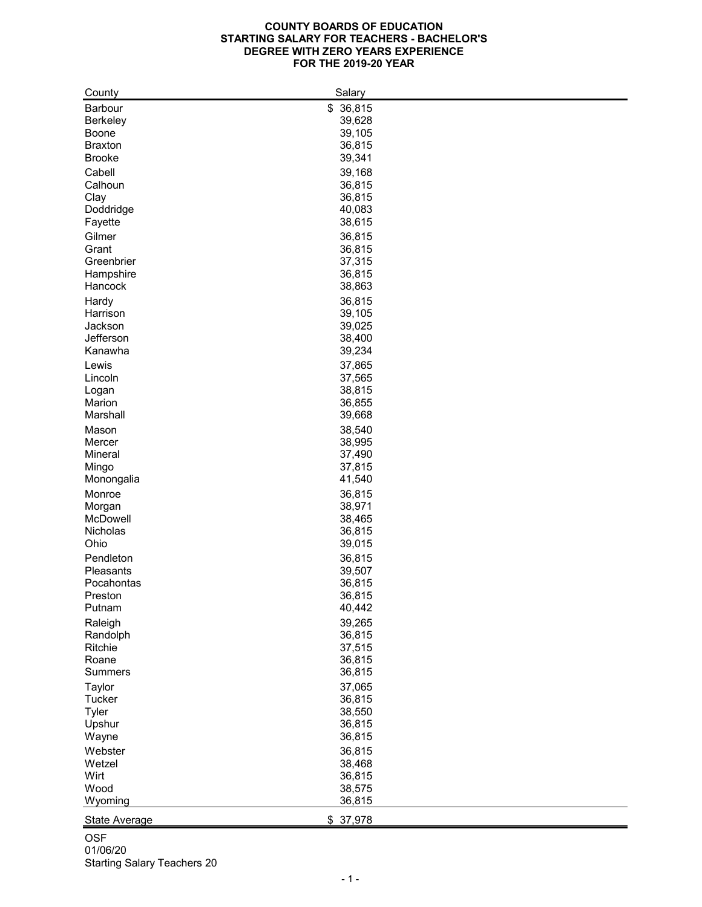## **COUNTY BOARDS OF EDUCATION STARTING SALARY FOR TEACHERS - BACHELOR'S DEGREE WITH ZERO YEARS EXPERIENCE FOR THE 2019-20 YEAR**

| County               | Salary    |
|----------------------|-----------|
| <b>Barbour</b>       | \$36,815  |
| <b>Berkeley</b>      | 39,628    |
| <b>Boone</b>         | 39,105    |
| <b>Braxton</b>       | 36,815    |
| <b>Brooke</b>        | 39,341    |
|                      |           |
| Cabell               | 39,168    |
| Calhoun              | 36,815    |
| Clay                 | 36,815    |
| Doddridge            | 40,083    |
| Fayette              | 38,615    |
| Gilmer               | 36,815    |
| Grant                | 36,815    |
| Greenbrier           | 37,315    |
| Hampshire            | 36,815    |
| Hancock              | 38,863    |
| Hardy                | 36,815    |
| Harrison             | 39,105    |
| Jackson              | 39,025    |
| Jefferson            |           |
|                      | 38,400    |
| Kanawha              | 39,234    |
| Lewis                | 37,865    |
| Lincoln              | 37,565    |
| Logan                | 38,815    |
| Marion               | 36,855    |
| Marshall             | 39,668    |
| Mason                | 38,540    |
| Mercer               | 38,995    |
| Mineral              | 37,490    |
| Mingo                | 37,815    |
| Monongalia           | 41,540    |
| Monroe               | 36,815    |
|                      | 38,971    |
| Morgan<br>McDowell   |           |
| <b>Nicholas</b>      | 38,465    |
|                      | 36,815    |
| Ohio                 | 39,015    |
| Pendleton            | 36,815    |
| Pleasants            | 39,507    |
| Pocahontas           | 36,815    |
| Preston              | 36,815    |
| Putnam               | 40,442    |
| Raleigh              | 39,265    |
| Randolph             | 36,815    |
| <b>Ritchie</b>       | 37,515    |
| Roane                | 36,815    |
| <b>Summers</b>       | 36,815    |
| <b>Taylor</b>        | 37,065    |
|                      |           |
| <b>Tucker</b>        | 36,815    |
| <b>Tyler</b>         | 38,550    |
| Upshur               | 36,815    |
| Wayne                | 36,815    |
| Webster              | 36,815    |
| Wetzel               | 38,468    |
| Wirt                 | 36,815    |
| Wood                 | 38,575    |
| Wyoming              | 36,815    |
| <b>State Average</b> | \$ 37,978 |
|                      |           |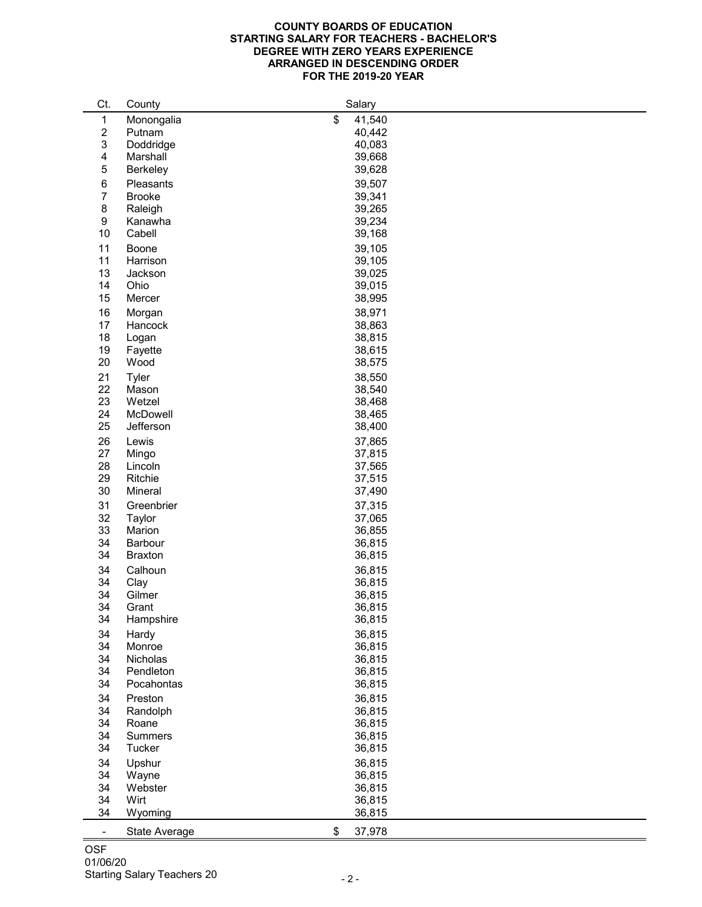## **COUNTY BOARDS OF EDUCATION STARTING SALARY FOR TEACHERS - BACHELOR'S DEGREE WITH ZERO YEARS EXPERIENCE ARRANGED IN DESCENDING ORDER FOR THE 2019-20 YEAR**

| Ct.                       | County               | Salary       |
|---------------------------|----------------------|--------------|
| $\mathbf 1$               | Monongalia           | \$<br>41,540 |
| $\overline{2}$            | Putnam               | 40,442       |
| $\ensuremath{\mathsf{3}}$ | Doddridge            | 40,083       |
| 4                         | Marshall             | 39,668       |
| 5                         | <b>Berkeley</b>      | 39,628       |
|                           |                      |              |
| 6                         | <b>Pleasants</b>     | 39,507       |
| $\overline{7}$            | <b>Brooke</b>        | 39,341       |
| $\bf 8$                   | Raleigh              | 39,265       |
| $\boldsymbol{9}$          | Kanawha              | 39,234       |
| 10                        | Cabell               | 39,168       |
| 11                        | <b>Boone</b>         | 39,105       |
| 11                        | Harrison             | 39,105       |
| 13                        | Jackson              | 39,025       |
| 14                        | Ohio                 | 39,015       |
| 15                        | Mercer               | 38,995       |
| 16                        | Morgan               | 38,971       |
| 17                        | Hancock              | 38,863       |
|                           |                      | 38,815       |
| 18                        | Logan                |              |
| 19                        | Fayette              | 38,615       |
| 20                        | Wood                 | 38,575       |
| 21                        | <b>Tyler</b>         | 38,550       |
| 22                        | Mason                | 38,540       |
| 23                        | Wetzel               | 38,468       |
| 24                        | McDowell             | 38,465       |
| 25                        | Jefferson            | 38,400       |
| 26                        | Lewis                | 37,865       |
| 27                        | Mingo                | 37,815       |
| 28                        | Lincoln              | 37,565       |
| 29                        | Ritchie              | 37,515       |
| 30                        | Mineral              | 37,490       |
|                           |                      |              |
| 31                        | Greenbrier           | 37,315       |
| 32                        | <b>Taylor</b>        | 37,065       |
| 33                        | Marion               | 36,855       |
| 34                        | <b>Barbour</b>       | 36,815       |
| 34                        | <b>Braxton</b>       | 36,815       |
| 34                        | Calhoun              | 36,815       |
| 34                        | Clay                 | 36,815       |
| 34                        | Gilmer               | 36,815       |
| 34                        | Grant                | 36,815       |
| 34                        | Hampshire            | 36,815       |
| 34                        | Hardy                | 36,815       |
| 34                        | Monroe               | 36,815       |
| 34                        | <b>Nicholas</b>      | 36,815       |
| 34                        | Pendleton            | 36,815       |
| 34                        | Pocahontas           | 36,815       |
|                           |                      |              |
| 34                        | Preston              | 36,815       |
| 34                        | Randolph             | 36,815       |
| 34                        | Roane                | 36,815       |
| 34                        | <b>Summers</b>       | 36,815       |
| 34                        | <b>Tucker</b>        | 36,815       |
| 34                        | Upshur               | 36,815       |
| 34                        | Wayne                | 36,815       |
| 34                        | Webster              | 36,815       |
| 34                        | Wirt                 | 36,815       |
| 34                        | Wyoming              | 36,815       |
|                           |                      |              |
| $\sim$                    | <b>State Average</b> | \$<br>37,978 |